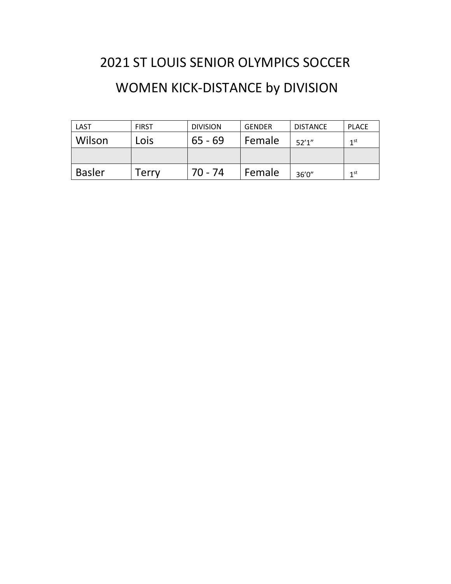## 2021 ST LOUIS SENIOR OLYMPICS SOCCER WOMEN KICK-DISTANCE by DIVISION

| LAST          | <b>FIRST</b> | <b>DIVISION</b> | <b>GENDER</b> | <b>DISTANCE</b> | <b>PLACE</b>    |
|---------------|--------------|-----------------|---------------|-----------------|-----------------|
| Wilson        | Lois         | $65 - 69$       | Female        | 52'1''          | 1 <sub>st</sub> |
|               |              |                 |               |                 |                 |
| <b>Basler</b> | Terrv        | $70 - 74$       | Female        | 36'0''          | 1 <sup>st</sup> |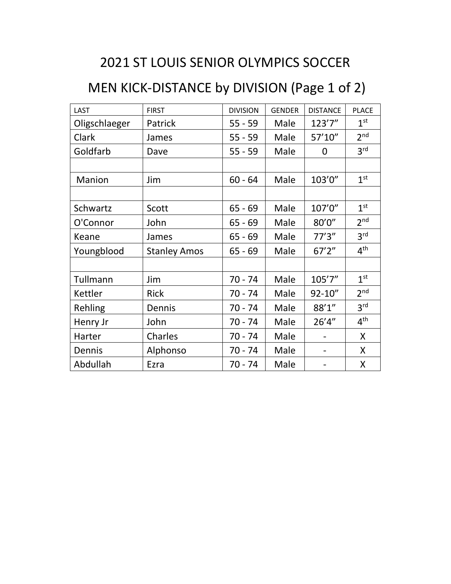## 2021 ST LOUIS SENIOR OLYMPICS SOCCER

## MEN KICK-DISTANCE by DIVISION (Page 1 of 2)

| <b>LAST</b>   | <b>FIRST</b>        | <b>DIVISION</b> | <b>GENDER</b> | <b>DISTANCE</b> | <b>PLACE</b>    |
|---------------|---------------------|-----------------|---------------|-----------------|-----------------|
| Oligschlaeger | Patrick             | $55 - 59$       | Male          | 123'7"          | 1 <sup>st</sup> |
| Clark         | James               | $55 - 59$       | Male          | 57'10"          | 2 <sup>nd</sup> |
| Goldfarb      | Dave                | $55 - 59$       | Male          | 0               | 3 <sup>rd</sup> |
|               |                     |                 |               |                 |                 |
| Manion        | Jim                 | $60 - 64$       | Male          | 103'0"          | 1 <sup>st</sup> |
|               |                     |                 |               |                 |                 |
| Schwartz      | Scott               | $65 - 69$       | Male          | 107'0"          | 1 <sup>st</sup> |
| O'Connor      | John                | $65 - 69$       | Male          | 80'0"           | 2 <sup>nd</sup> |
| Keane         | James               | $65 - 69$       | Male          | 77'3''          | 3 <sup>rd</sup> |
| Youngblood    | <b>Stanley Amos</b> | $65 - 69$       | Male          | 67'2''          | 4 <sup>th</sup> |
|               |                     |                 |               |                 |                 |
| Tullmann      | Jim                 | $70 - 74$       | Male          | 105'7"          | 1 <sup>st</sup> |
| Kettler       | <b>Rick</b>         | $70 - 74$       | Male          | $92 - 10''$     | 2 <sup>nd</sup> |
| Rehling       | Dennis              | 70 - 74         | Male          | 88'1"           | 3 <sup>rd</sup> |
| Henry Jr      | John                | 70 - 74         | Male          | 26'4"           | 4 <sup>th</sup> |
| Harter        | <b>Charles</b>      | $70 - 74$       | Male          |                 | X               |
| Dennis        | Alphonso            | $70 - 74$       | Male          |                 | X               |
| Abdullah      | Ezra                | 70 - 74         | Male          |                 | X               |